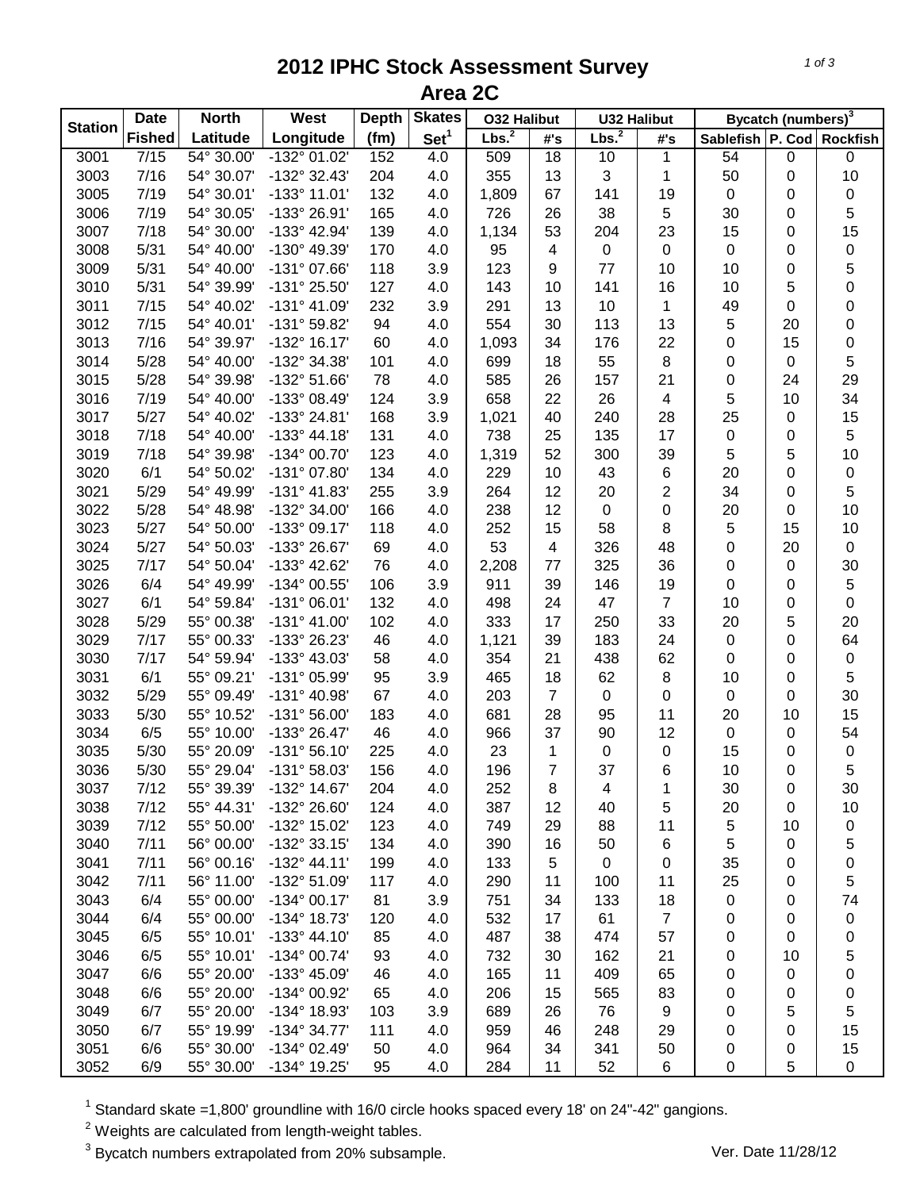## **2012 IPHC Stock Assessment Survey Area 2C**

| <b>Station</b> | <b>Date</b>       | <b>North</b> | West                  | <b>Depth</b> | <b>Skates</b>    | <b>032 Halibut</b> |                          | <b>U32 Halibut</b> |                          | Bycatch (numbers) <sup>3</sup> |             |                 |  |
|----------------|-------------------|--------------|-----------------------|--------------|------------------|--------------------|--------------------------|--------------------|--------------------------|--------------------------------|-------------|-----------------|--|
|                | <b>Fished</b>     | Latitude     | Longitude             | (fm)         | Set <sup>1</sup> | Lbs. <sup>2</sup>  | #'s                      | Lbs. <sup>2</sup>  | #'s                      | Sablefish P. Cod               |             | <b>Rockfish</b> |  |
| 3001           | $\overline{7/15}$ | 54° 30.00'   | $-132^{\circ}$ 01.02' | 152          | 4.0              | 509                | $\overline{18}$          | 10                 | 1                        | 54                             | $\pmb{0}$   | $\pmb{0}$       |  |
| 3003           | 7/16              | 54° 30.07'   | -132° 32.43'          | 204          | 4.0              | 355                | 13                       | 3                  | 1                        | 50                             | 0           | 10              |  |
| 3005           | 7/19              | 54° 30.01'   | $-133^{\circ}$ 11.01' | 132          | 4.0              | 1,809              | 67                       | 141                | 19                       | $\pmb{0}$                      | 0           | $\pmb{0}$       |  |
| 3006           | 7/19              | 54° 30.05'   | -133° 26.91'          | 165          | 4.0              | 726                | 26                       | 38                 | 5                        | 30                             | 0           | 5               |  |
| 3007           | 7/18              | 54° 30.00'   | -133° 42.94'          | 139          | 4.0              | 1,134              | 53                       | 204                | 23                       | 15                             | 0           | 15              |  |
| 3008           | 5/31              | 54° 40.00'   | -130° 49.39'          | 170          | 4.0              | 95                 | $\overline{\mathcal{A}}$ | $\pmb{0}$          | $\pmb{0}$                | $\pmb{0}$                      | 0           | $\pmb{0}$       |  |
| 3009           | 5/31              | 54° 40.00'   | $-131^{\circ}$ 07.66' | 118          | 3.9              | 123                | 9                        | 77                 | 10                       | 10                             | 0           | 5               |  |
| 3010           | 5/31              | 54° 39.99'   | -131° 25.50'          | 127          | 4.0              | 143                | 10                       | 141                | 16                       | 10                             | 5           | $\mathbf 0$     |  |
| 3011           | 7/15              | 54° 40.02'   | $-131^{\circ}$ 41.09' | 232          | 3.9              | 291                | 13                       | 10                 | 1                        | 49                             | $\mathbf 0$ | $\mathbf 0$     |  |
| 3012           | 7/15              | 54° 40.01'   | -131° 59.82'          | 94           | 4.0              | 554                | 30                       | 113                | 13                       | $\sqrt{5}$                     | 20          | $\mathbf 0$     |  |
| 3013           | 7/16              | 54° 39.97'   | -132° 16.17'          | 60           | 4.0              | 1,093              | 34                       | 176                | 22                       | $\boldsymbol{0}$               | 15          | 0               |  |
| 3014           | 5/28              | 54° 40.00'   | -132° 34.38'          | 101          | 4.0              | 699                | 18                       | 55                 | $\bf 8$                  | 0                              | 0           | 5               |  |
| 3015           | 5/28              | 54° 39.98'   | -132° 51.66'          | 78           | 4.0              | 585                | 26                       | 157                | 21                       | 0                              | 24          | 29              |  |
| 3016           | 7/19              | 54° 40.00'   | -133° 08.49'          | 124          | 3.9              | 658                | 22                       | 26                 | $\overline{\mathcal{A}}$ | 5                              | 10          | 34              |  |
| 3017           | 5/27              | 54° 40.02'   | -133° 24.81'          | 168          | 3.9              | 1,021              | 40                       | 240                | 28                       | 25                             | 0           | 15              |  |
| 3018           | 7/18              | 54° 40.00'   | $-133^{\circ}$ 44.18' | 131          | 4.0              | 738                | 25                       | 135                | 17                       | 0                              | 0           | 5               |  |
| 3019           | 7/18              | 54° 39.98'   | $-134^{\circ}$ 00.70' | 123          | 4.0              | 1,319              | 52                       | 300                | 39                       | $\sqrt{5}$                     | 5           | 10              |  |
| 3020           | 6/1               | 54° 50.02'   | -131° 07.80'          | 134          | 4.0              | 229                | 10                       | 43                 | 6                        | 20                             | 0           | $\pmb{0}$       |  |
| 3021           | 5/29              | 54° 49.99'   | $-131^{\circ}$ 41.83' | 255          | 3.9              | 264                | 12                       |                    | 2                        | 34                             |             | 5               |  |
|                |                   |              |                       |              |                  |                    |                          | 20                 |                          |                                | 0           |                 |  |
| 3022           | 5/28              | 54° 48.98'   | -132° 34.00'          | 166          | 4.0              | 238                | 12                       | $\pmb{0}$          | 0                        | 20                             | 0           | 10              |  |
| 3023           | 5/27              | 54° 50.00'   | -133° 09.17'          | 118          | 4.0              | 252                | 15                       | 58                 | $\bf 8$                  | $\sqrt{5}$                     | 15          | 10              |  |
| 3024           | 5/27              | 54° 50.03'   | -133° 26.67'          | 69           | 4.0              | 53                 | $\overline{4}$           | 326                | 48                       | $\pmb{0}$                      | 20          | $\pmb{0}$       |  |
| 3025           | 7/17              | 54° 50.04'   | -133° 42.62'          | 76           | 4.0              | 2,208              | 77                       | 325                | 36                       | 0                              | $\pmb{0}$   | $30\,$          |  |
| 3026           | 6/4               | 54° 49.99'   | -134° 00.55'          | 106          | 3.9              | 911                | 39                       | 146                | 19                       | $\pmb{0}$                      | 0           | $\mathbf 5$     |  |
| 3027           | 6/1               | 54° 59.84'   | $-131°06.01'$         | 132          | 4.0              | 498                | 24                       | 47                 | $\overline{7}$           | 10                             | 0           | $\mathsf 0$     |  |
| 3028           | 5/29              | 55° 00.38'   | $-131^{\circ}$ 41.00' | 102          | 4.0              | 333                | 17                       | 250                | 33                       | 20                             | 5           | 20              |  |
| 3029           | 7/17              | 55° 00.33'   | -133° 26.23'          | 46           | 4.0              | 1,121              | 39                       | 183                | 24                       | $\pmb{0}$                      | 0           | 64              |  |
| 3030           | 7/17              | 54° 59.94'   | -133° 43.03'          | 58           | 4.0              | 354                | 21                       | 438                | 62                       | $\pmb{0}$                      | 0           | $\pmb{0}$       |  |
| 3031           | 6/1               | 55° 09.21'   | -131° 05.99'          | 95           | 3.9              | 465                | 18                       | 62                 | 8                        | 10                             | 0           | 5               |  |
| 3032           | 5/29              | 55° 09.49'   | -131° 40.98'          | 67           | 4.0              | 203                | $\overline{7}$           | 0                  | 0                        | $\mathbf 0$                    | 0           | 30              |  |
| 3033           | 5/30              | 55° 10.52'   | $-131^{\circ} 56.00'$ | 183          | 4.0              | 681                | 28                       | 95                 | 11                       | 20                             | 10          | 15              |  |
| 3034           | 6/5               | 55° 10.00'   | -133° 26.47'          | 46           | 4.0              | 966                | 37                       | 90                 | 12                       | $\pmb{0}$                      | 0           | 54              |  |
| 3035           | 5/30              | 55° 20.09'   | $-131°56.10'$         | 225          | 4.0              | 23                 | 1                        | 0                  | 0                        | 15                             | 0           | $\pmb{0}$       |  |
| 3036           | 5/30              | 55° 29.04'   | -131° 58.03'          | 156          | 4.0              | 196                | $\overline{7}$           | 37                 | 6                        | 10                             | 0           | 5               |  |
| 3037           | 7/12              | 55° 39.39'   | $-132^{\circ}$ 14.67' | 204          | 4.0              | 252                | 8                        | 4                  | 1                        | 30                             | 0           | 30              |  |
| 3038           | 7/12              | 55° 44.31'   | -132° 26.60'          | 124          | 4.0              | 387                | 12                       | 40                 | 5                        | 20                             | 0           | 10              |  |
| 3039           | 7/12              | 55° 50.00'   | -132° 15.02'          | 123          | 4.0              | 749                | 29                       | 88                 | 11                       | $\,$ 5 $\,$                    | 10          | 0               |  |
| 3040           | 7/11              | 56° 00.00'   | -132° 33.15'          | 134          | 4.0              | 390                | 16                       | 50                 | 6                        | $\,$ 5 $\,$                    | 0           | 5               |  |
| 3041           | 7/11              | 56° 00.16'   | $-132^{\circ}$ 44.11' | 199          | 4.0              | 133                | 5                        | 0                  | $\pmb{0}$                | 35                             | 0           | 0               |  |
| 3042           | 7/11              | 56° 11.00'   | -132° 51.09'          | 117          | 4.0              | 290                | 11                       | 100                | 11                       | 25                             | 0           | 5               |  |
| 3043           | 6/4               | 55° 00.00'   | $-134^{\circ}$ 00.17' | 81           | 3.9              | 751                | 34                       | 133                | 18                       | $\mathbf 0$                    | 0           | 74              |  |
| 3044           | 6/4               | 55° 00.00'   | -134° 18.73'          | 120          | 4.0              | 532                | 17                       | 61                 | $\overline{7}$           | 0                              | 0           | 0               |  |
| 3045           | 6/5               | 55° 10.01'   | $-133^{\circ}$ 44.10' | 85           | 4.0              | 487                | 38                       | 474                | 57                       |                                |             |                 |  |
|                |                   |              |                       | 93           |                  |                    | 30                       | 162                |                          | 0                              | 0           | 0               |  |
| 3046           | 6/5               | 55° 10.01'   | -134° 00.74'          |              | 4.0              | 732                |                          |                    | 21                       | 0                              | 10          | 5               |  |
| 3047           | 6/6               | 55° 20.00'   | -133° 45.09'          | 46           | 4.0              | 165                | 11                       | 409                | 65                       | 0                              | 0           | 0               |  |
| 3048           | 6/6               | 55° 20.00'   | -134° 00.92'          | 65           | 4.0              | 206                | 15                       | 565                | 83                       | 0                              | 0           | 0               |  |
| 3049           | 6/7               | 55° 20.00'   | -134° 18.93'          | 103          | 3.9              | 689                | 26                       | 76                 | 9                        | 0                              | 5           | 5               |  |
| 3050           | 6/7               | 55° 19.99'   | -134° 34.77'          | 111          | 4.0              | 959                | 46                       | 248                | 29                       | 0                              | 0           | 15              |  |
| 3051           | 6/6               | 55° 30.00'   | -134° 02.49'          | 50           | 4.0              | 964                | 34                       | 341                | 50                       | 0                              | 0           | 15              |  |
| 3052           | 6/9               | 55° 30.00'   | -134° 19.25'          | 95           | 4.0              | 284                | 11                       | 52                 | 6                        | 0                              | 5           | 0               |  |

 $1$  Standard skate =1,800' groundline with 16/0 circle hooks spaced every 18' on 24"-42" gangions.

 $2$  Weights are calculated from length-weight tables.

<sup>3</sup> Bycatch numbers extrapolated from 20% subsample. Ver. Date 11/28/12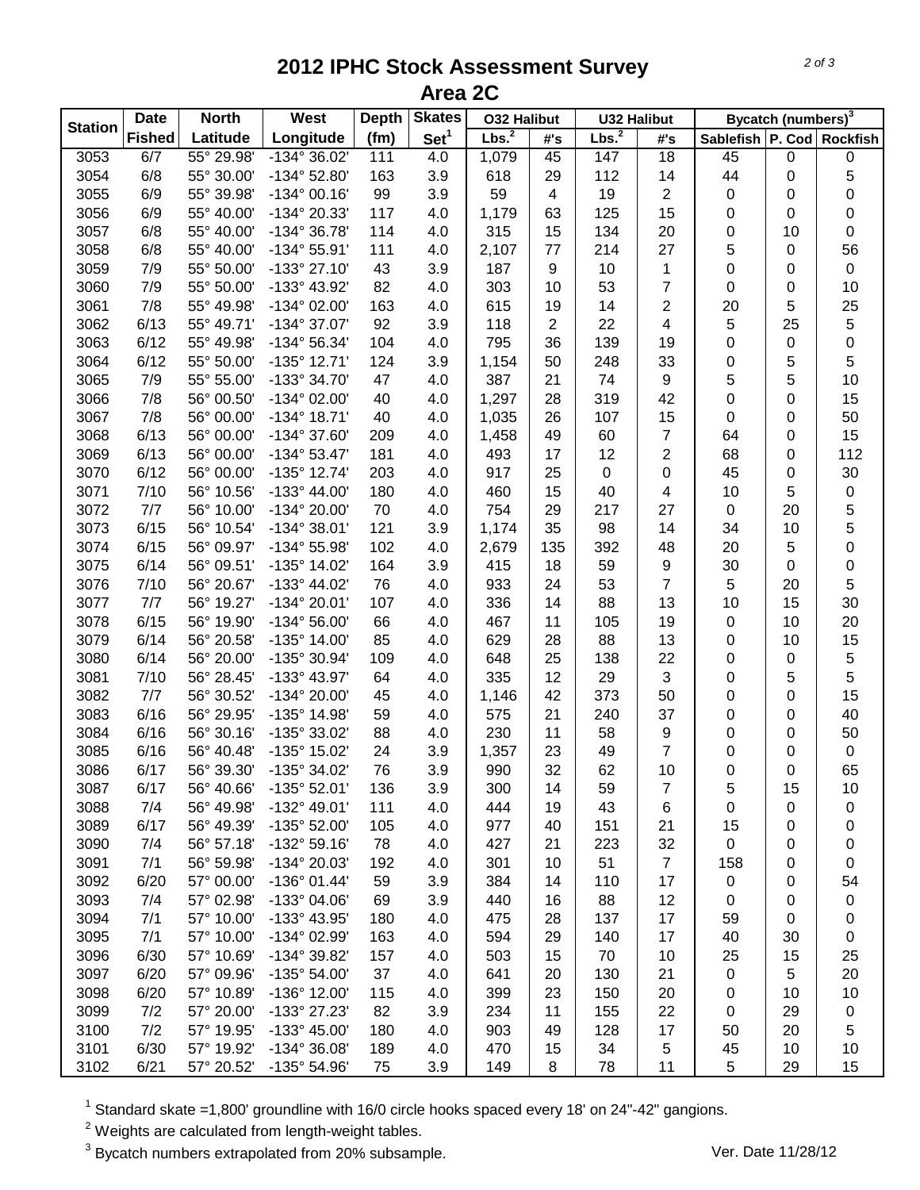## **2012 IPHC Stock Assessment Survey Area 2C**

| <b>Station</b> | <b>Date</b>   | <b>North</b> | West                  | <b>Depth</b> | <b>Skates</b>    | <b>O32 Halibut</b> |                | <b>U32 Halibut</b> |                     | Bycatch (numbers) <sup>3</sup> |    |                 |
|----------------|---------------|--------------|-----------------------|--------------|------------------|--------------------|----------------|--------------------|---------------------|--------------------------------|----|-----------------|
|                | <b>Fished</b> | Latitude     | Longitude             | (fm)         | Set <sup>1</sup> | Lbs. <sup>2</sup>  | #'s            | Lbs. <sup>2</sup>  | #'s                 | Sablefish P. Cod               |    | <b>Rockfish</b> |
| 3053           | 6/7           | 55° 29.98'   | $-134^{\circ}36.02'$  | 111          | 4.0              | 1,079              | 45             | 147                | $\overline{18}$     | 45                             | 0  | $\pmb{0}$       |
| 3054           | 6/8           | 55° 30.00'   | $-134^{\circ}$ 52.80' | 163          | 3.9              | 618                | 29             | 112                | 14                  | 44                             | 0  | 5               |
| 3055           | 6/9           | 55° 39.98'   | $-134^{\circ}$ 00.16' | 99           | 3.9              | 59                 | $\overline{4}$ | 19                 | $\overline{2}$      | 0                              | 0  | 0               |
| 3056           | 6/9           | 55° 40.00'   | -134° 20.33'          | 117          | 4.0              | 1,179              | 63             | 125                | 15                  | 0                              | 0  | 0               |
| 3057           | 6/8           | 55° 40.00'   | -134° 36.78'          | 114          | 4.0              | 315                | 15             | 134                | 20                  | 0                              | 10 | $\pmb{0}$       |
| 3058           | 6/8           | 55° 40.00'   | $-134^{\circ} 55.91'$ | 111          | 4.0              | 2,107              | 77             | 214                | 27                  | 5                              | 0  | 56              |
| 3059           | 7/9           | 55° 50.00'   | -133° 27.10'          | 43           | 3.9              | 187                | 9              | 10                 | $\mathbf{1}$        | 0                              | 0  | $\pmb{0}$       |
| 3060           | 7/9           | 55° 50.00'   | -133° 43.92'          | 82           | 4.0              | 303                | 10             | 53                 | $\overline{7}$      | $\pmb{0}$                      | 0  | 10              |
| 3061           | 7/8           | 55° 49.98'   | -134° 02.00'          | 163          | 4.0              | 615                | 19             | 14                 | $\overline{2}$      | 20                             | 5  | 25              |
| 3062           | 6/13          | 55° 49.71'   | -134° 37.07'          | 92           | 3.9              | 118                | $\overline{2}$ | 22                 | 4                   | $\sqrt{5}$                     | 25 | $\mathbf 5$     |
| 3063           | 6/12          | 55° 49.98'   | $-134^{\circ} 56.34'$ | 104          | 4.0              | 795                | 36             | 139                | 19                  | 0                              | 0  | $\mathbf 0$     |
| 3064           | 6/12          | 55° 50.00'   | $-135^{\circ}$ 12.71' | 124          | 3.9              | 1,154              | 50             | 248                | 33                  | 0                              | 5  | 5               |
| 3065           | 7/9           | 55° 55.00'   | -133° 34.70'          | 47           | 4.0              | 387                | 21             | 74                 | 9                   | 5                              | 5  | 10              |
| 3066           | 7/8           | 56° 00.50'   | $-134^{\circ}$ 02.00' | 40           | 4.0              | 1,297              | 28             | 319                | 42                  | 0                              | 0  | 15              |
| 3067           | 7/8           | 56° 00.00'   | $-134^{\circ}$ 18.71' | 40           | 4.0              | 1,035              | 26             | 107                | 15                  | 0                              | 0  | 50              |
| 3068           | 6/13          | 56° 00.00'   | -134° 37.60'          | 209          | 4.0              | 1,458              | 49             | 60                 | $\overline{7}$      | 64                             | 0  | 15              |
| 3069           | 6/13          | 56° 00.00'   | $-134^{\circ}53.47'$  | 181          | 4.0              | 493                | 17             | 12                 | $\overline{c}$      | 68                             | 0  | 112             |
| 3070           | 6/12          | 56° 00.00'   | $-135^{\circ}$ 12.74' | 203          | 4.0              | 917                | 25             | $\pmb{0}$          | 0                   | 45                             | 0  | 30              |
| 3071           | 7/10          | 56° 10.56'   | -133° 44.00'          | 180          | 4.0              | 460                | 15             | 40                 | 4                   | 10                             | 5  | $\pmb{0}$       |
| 3072           | 7/7           | 56° 10.00'   | -134° 20.00'          | 70           | 4.0              | 754                | 29             | 217                | 27                  | $\pmb{0}$                      | 20 | 5               |
| 3073           | 6/15          | 56° 10.54'   | $-134^{\circ}38.01'$  | 121          | 3.9              | 1,174              | 35             | 98                 | 14                  | 34                             | 10 | 5               |
| 3074           | 6/15          | 56° 09.97'   | -134° 55.98'          | 102          | 4.0              | 2,679              | 135            | 392                | 48                  | 20                             | 5  | $\mathbf 0$     |
| 3075           | 6/14          | 56° 09.51'   | -135° 14.02'          | 164          | 3.9              | 415                | 18             | 59                 | 9                   | 30                             | 0  | $\pmb{0}$       |
| 3076           | 7/10          | 56° 20.67'   | $-133^{\circ}$ 44.02' | 76           | 4.0              | 933                | 24             | 53                 | $\overline{7}$      | 5                              | 20 | 5               |
| 3077           | 7/7           | 56° 19.27'   | -134° 20.01'          | 107          | 4.0              | 336                | 14             | 88                 | 13                  | 10                             | 15 | 30              |
| 3078           | 6/15          | 56° 19.90'   | $-134^{\circ} 56.00'$ | 66           | 4.0              | 467                | 11             | 105                | 19                  | $\pmb{0}$                      | 10 | 20              |
| 3079           | 6/14          | 56° 20.58'   | -135° 14.00'          | 85           | 4.0              | 629                | 28             | 88                 | 13                  | 0                              | 10 | 15              |
| 3080           | 6/14          | 56° 20.00'   | -135° 30.94'          | 109          | 4.0              | 648                | 25             | 138                | 22                  | 0                              | 0  | 5               |
| 3081           | 7/10          | 56° 28.45'   | -133° 43.97'          | 64           | 4.0              | 335                | 12             | 29                 | 3                   | 0                              | 5  | 5               |
| 3082           | 7/7           | 56° 30.52'   | -134° 20.00'          | 45           | 4.0              | 1,146              | 42             | 373                | 50                  | 0                              | 0  | 15              |
| 3083           | 6/16          | 56° 29.95'   | -135° 14.98'          | 59           | 4.0              |                    | 21             | 240                | 37                  | 0                              |    | 40              |
| 3084           | 6/16          | 56° 30.16'   | -135° 33.02'          | 88           |                  | 575<br>230         | 11             | 58                 |                     | 0                              | 0  | 50              |
|                | 6/16          | 56° 40.48'   | -135° 15.02'          | 24           | 4.0              |                    |                |                    | 9<br>$\overline{7}$ |                                | 0  |                 |
| 3085           |               |              |                       |              | 3.9              | 1,357              | 23             | 49                 |                     | 0                              | 0  | $\pmb{0}$       |
| 3086           | 6/17          | 56° 39.30'   | -135° 34.02'          | 76           | 3.9              | 990                | 32             | 62                 | 10                  | 0                              | 0  | 65              |
| 3087           | 6/17          | 56° 40.66'   | $-135^{\circ}$ 52.01' | 136          | 3.9              | 300                | 14             | 59                 | 7                   | 5                              | 15 | 10              |
| 3088           | 7/4           | 56° 49.98'   | $-132^{\circ}$ 49.01' | 111          | 4.0              | 444                | 19             | 43                 | 6                   | 0                              | 0  | 0               |
| 3089           | 6/17          | 56° 49.39'   | -135° 52.00'          | 105          | 4.0              | 977                | 40             | 151                | 21                  | 15                             | 0  | 0               |
| 3090           | 7/4           | 56° 57.18'   | $-132^{\circ}59.16'$  | 78           | 4.0              | 427                | 21             | 223                | 32                  | 0                              | 0  | 0               |
| 3091           | 7/1           | 56° 59.98'   | -134° 20.03'          | 192          | 4.0              | 301                | 10             | 51                 | $\overline{7}$      | 158                            | 0  | 0               |
| 3092           | 6/20          | 57° 00.00'   | $-136°01.44'$         | 59           | 3.9              | 384                | 14             | 110                | 17                  | 0                              | 0  | 54              |
| 3093           | 7/4           | 57° 02.98'   | -133° 04.06'          | 69           | 3.9              | 440                | 16             | 88                 | 12                  | 0                              | 0  | 0               |
| 3094           | 7/1           | 57° 10.00'   | -133° 43.95'          | 180          | 4.0              | 475                | 28             | 137                | 17                  | 59                             | 0  | 0               |
| 3095           | 7/1           | 57° 10.00'   | -134° 02.99'          | 163          | 4.0              | 594                | 29             | 140                | 17                  | 40                             | 30 | 0               |
| 3096           | 6/30          | 57° 10.69'   | -134° 39.82'          | 157          | 4.0              | 503                | 15             | 70                 | 10                  | 25                             | 15 | 25              |
| 3097           | 6/20          | 57° 09.96'   | -135° 54.00'          | 37           | 4.0              | 641                | 20             | 130                | 21                  | 0                              | 5  | 20              |
| 3098           | 6/20          | 57° 10.89'   | -136° 12.00'          | 115          | 4.0              | 399                | 23             | 150                | 20                  | 0                              | 10 | 10              |
| 3099           | 7/2           | 57° 20.00'   | -133° 27.23'          | 82           | 3.9              | 234                | 11             | 155                | 22                  | 0                              | 29 | 0               |
| 3100           | 7/2           | 57° 19.95'   | -133° 45.00'          | 180          | 4.0              | 903                | 49             | 128                | 17                  | 50                             | 20 | 5               |
| 3101           | 6/30          | 57° 19.92'   | $-134^{\circ}36.08'$  | 189          | 4.0              | 470                | 15             | 34                 | 5                   | 45                             | 10 | 10              |
| 3102           | 6/21          | 57° 20.52'   | -135° 54.96'          | 75           | 3.9              | 149                | 8              | 78                 | 11                  | $\,$ 5 $\,$                    | 29 | 15              |

 $1$  Standard skate =1,800' groundline with 16/0 circle hooks spaced every 18' on 24"-42" gangions.

 $2$  Weights are calculated from length-weight tables.

<sup>3</sup> Bycatch numbers extrapolated from 20% subsample. Ver. Date 11/28/12